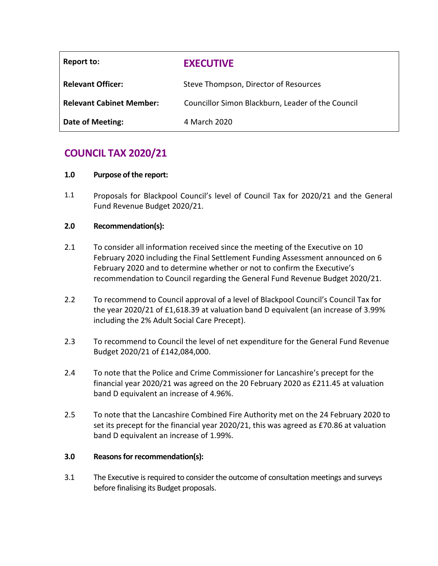| Report to:                      | <b>EXECUTIVE</b>                                  |
|---------------------------------|---------------------------------------------------|
| <b>Relevant Officer:</b>        | Steve Thompson, Director of Resources             |
| <b>Relevant Cabinet Member:</b> | Councillor Simon Blackburn, Leader of the Council |
| Date of Meeting:                | 4 March 2020                                      |

# **COUNCIL TAX 2020/21**

# **1.0 Purpose of the report:**

1.1 Proposals for Blackpool Council's level of Council Tax for 2020/21 and the General Fund Revenue Budget 2020/21.

# **2.0 Recommendation(s):**

- 2.1 To consider all information received since the meeting of the Executive on 10 February 2020 including the Final Settlement Funding Assessment announced on 6 February 2020 and to determine whether or not to confirm the Executive's recommendation to Council regarding the General Fund Revenue Budget 2020/21.
- 2.2 To recommend to Council approval of a level of Blackpool Council's Council Tax for the year 2020/21 of £1,618.39 at valuation band D equivalent (an increase of 3.99% including the 2% Adult Social Care Precept).
- 2.3 To recommend to Council the level of net expenditure for the General Fund Revenue Budget 2020/21 of £142,084,000.
- 2.4 To note that the Police and Crime Commissioner for Lancashire's precept for the financial year 2020/21 was agreed on the 20 February 2020 as £211.45 at valuation band D equivalent an increase of 4.96%.
- 2.5 To note that the Lancashire Combined Fire Authority met on the 24 February 2020 to set its precept for the financial year 2020/21, this was agreed as £70.86 at valuation band D equivalent an increase of 1.99%.

## **3.0 Reasons for recommendation(s):**

3.1 The Executive is required to consider the outcome of consultation meetings and surveys before finalising its Budget proposals.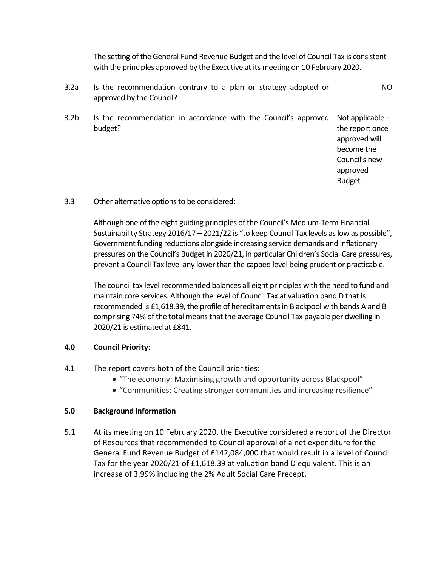The setting of the General Fund Revenue Budget and the level of Council Tax is consistent with the principles approved by the Executive at its meeting on 10 February 2020.

- 3.2a Is the recommendation contrary to a plan or strategy adopted or approved by the Council? NO
- 3.2b Is the recommendation in accordance with the Council's approved Not applicable budget? the report once

approved will become the Council's new approved Budget

3.3 Other alternative options to be considered:

Although one of the eight guiding principles of the Council's Medium-Term Financial Sustainability Strategy 2016/17 – 2021/22 is "to keep Council Tax levels as low as possible", Government funding reductions alongside increasing service demands and inflationary pressures on the Council's Budget in 2020/21, in particular Children's Social Care pressures, prevent a Council Tax level any lower than the capped level being prudent or practicable.

The council tax level recommended balances all eight principles with the need to fund and maintain core services. Although the level of Council Tax at valuation band D that is recommended is £1,618.39, the profile of hereditaments in Blackpool with bands A and B comprising 74% of the total means that the average Council Tax payable per dwelling in 2020/21 is estimated at £841.

## **4.0 Council Priority:**

- 4.1 The report covers both of the Council priorities:
	- "The economy: Maximising growth and opportunity across Blackpool"
	- "Communities: Creating stronger communities and increasing resilience"

#### **5.0 Background Information**

5.1 At its meeting on 10 February 2020, the Executive considered a report of the Director of Resources that recommended to Council approval of a net expenditure for the General Fund Revenue Budget of £142,084,000 that would result in a level of Council Tax for the year 2020/21 of £1,618.39 at valuation band D equivalent. This is an increase of 3.99% including the 2% Adult Social Care Precept.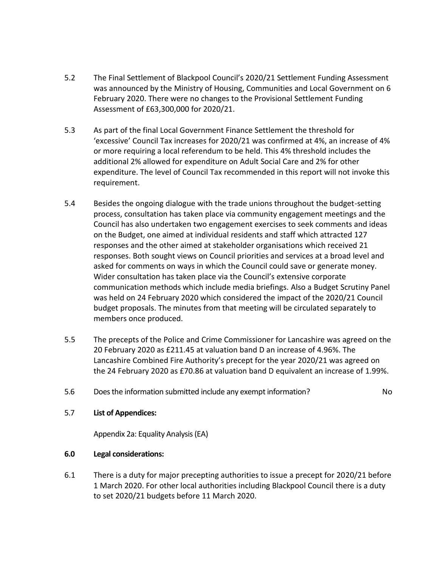- 5.2 The Final Settlement of Blackpool Council's 2020/21 Settlement Funding Assessment was announced by the Ministry of Housing, Communities and Local Government on 6 February 2020. There were no changes to the Provisional Settlement Funding Assessment of £63,300,000 for 2020/21.
- 5.3 As part of the final Local Government Finance Settlement the threshold for 'excessive' Council Tax increases for 2020/21 was confirmed at 4%, an increase of 4% or more requiring a local referendum to be held. This 4% threshold includes the additional 2% allowed for expenditure on Adult Social Care and 2% for other expenditure. The level of Council Tax recommended in this report will not invoke this requirement.
- 5.4 Besides the ongoing dialogue with the trade unions throughout the budget-setting process, consultation has taken place via community engagement meetings and the Council has also undertaken two engagement exercises to seek comments and ideas on the Budget, one aimed at individual residents and staff which attracted 127 responses and the other aimed at stakeholder organisations which received 21 responses. Both sought views on Council priorities and services at a broad level and asked for comments on ways in which the Council could save or generate money. Wider consultation has taken place via the Council's extensive corporate communication methods which include media briefings. Also a Budget Scrutiny Panel was held on 24 February 2020 which considered the impact of the 2020/21 Council budget proposals. The minutes from that meeting will be circulated separately to members once produced.
- 5.5 The precepts of the Police and Crime Commissioner for Lancashire was agreed on the 20 February 2020 as £211.45 at valuation band D an increase of 4.96%. The Lancashire Combined Fire Authority's precept for the year 2020/21 was agreed on the 24 February 2020 as £70.86 at valuation band D equivalent an increase of 1.99%.
- 5.6 Does the information submitted include any exempt information? No

# 5.7 **List of Appendices:**

Appendix 2a: Equality Analysis (EA)

## **6.0 Legal considerations:**

6.1 There is a duty for major precepting authorities to issue a precept for 2020/21 before 1 March 2020. For other local authorities including Blackpool Council there is a duty to set 2020/21 budgets before 11 March 2020.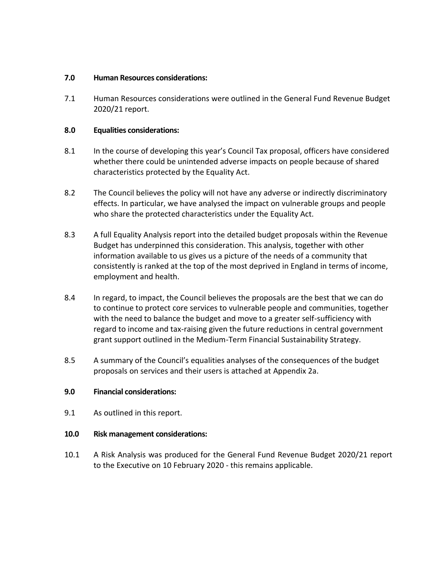#### **7.0 Human Resources considerations:**

7.1 Human Resources considerations were outlined in the General Fund Revenue Budget 2020/21 report.

## **8.0 Equalities considerations:**

- 8.1 In the course of developing this year's Council Tax proposal, officers have considered whether there could be unintended adverse impacts on people because of shared characteristics protected by the Equality Act.
- 8.2 The Council believes the policy will not have any adverse or indirectly discriminatory effects. In particular, we have analysed the impact on vulnerable groups and people who share the protected characteristics under the Equality Act.
- 8.3 A full Equality Analysis report into the detailed budget proposals within the Revenue Budget has underpinned this consideration. This analysis, together with other information available to us gives us a picture of the needs of a community that consistently is ranked at the top of the most deprived in England in terms of income, employment and health.
- 8.4 In regard, to impact, the Council believes the proposals are the best that we can do to continue to protect core services to vulnerable people and communities, together with the need to balance the budget and move to a greater self-sufficiency with regard to income and tax-raising given the future reductions in central government grant support outlined in the Medium-Term Financial Sustainability Strategy.
- 8.5 A summary of the Council's equalities analyses of the consequences of the budget proposals on services and their users is attached at Appendix 2a.

## **9.0 Financial considerations:**

9.1 As outlined in this report.

## **10.0 Risk management considerations:**

10.1 A Risk Analysis was produced for the General Fund Revenue Budget 2020/21 report to the Executive on 10 February 2020 - this remains applicable.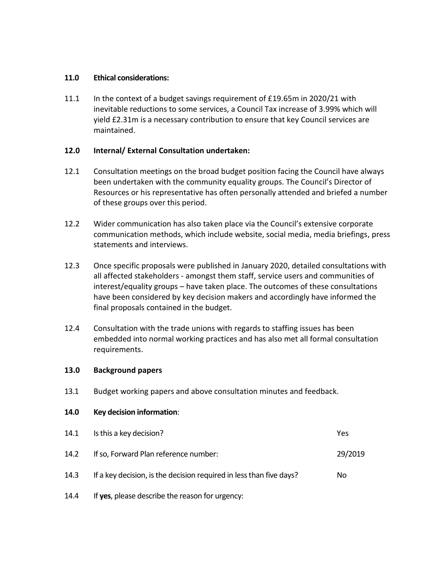#### **11.0 Ethical considerations:**

11.1 In the context of a budget savings requirement of £19.65m in 2020/21 with inevitable reductions to some services, a Council Tax increase of 3.99% which will yield £2.31m is a necessary contribution to ensure that key Council services are maintained.

## **12.0 Internal/ External Consultation undertaken:**

- 12.1 Consultation meetings on the broad budget position facing the Council have always been undertaken with the community equality groups. The Council's Director of Resources or his representative has often personally attended and briefed a number of these groups over this period.
- 12.2 Wider communication has also taken place via the Council's extensive corporate communication methods, which include website, social media, media briefings, press statements and interviews.
- 12.3 Once specific proposals were published in January 2020, detailed consultations with all affected stakeholders - amongst them staff, service users and communities of interest/equality groups – have taken place. The outcomes of these consultations have been considered by key decision makers and accordingly have informed the final proposals contained in the budget.
- 12.4 Consultation with the trade unions with regards to staffing issues has been embedded into normal working practices and has also met all formal consultation requirements.

#### **13.0 Background papers**

13.1 Budget working papers and above consultation minutes and feedback.

#### **14.0 Key decision information**:

| 14.1 | Is this a key decision?                                             | Yes     |
|------|---------------------------------------------------------------------|---------|
| 14.2 | If so, Forward Plan reference number:                               | 29/2019 |
| 14.3 | If a key decision, is the decision required in less than five days? | No.     |

14.4 If **yes**, please describe the reason for urgency: